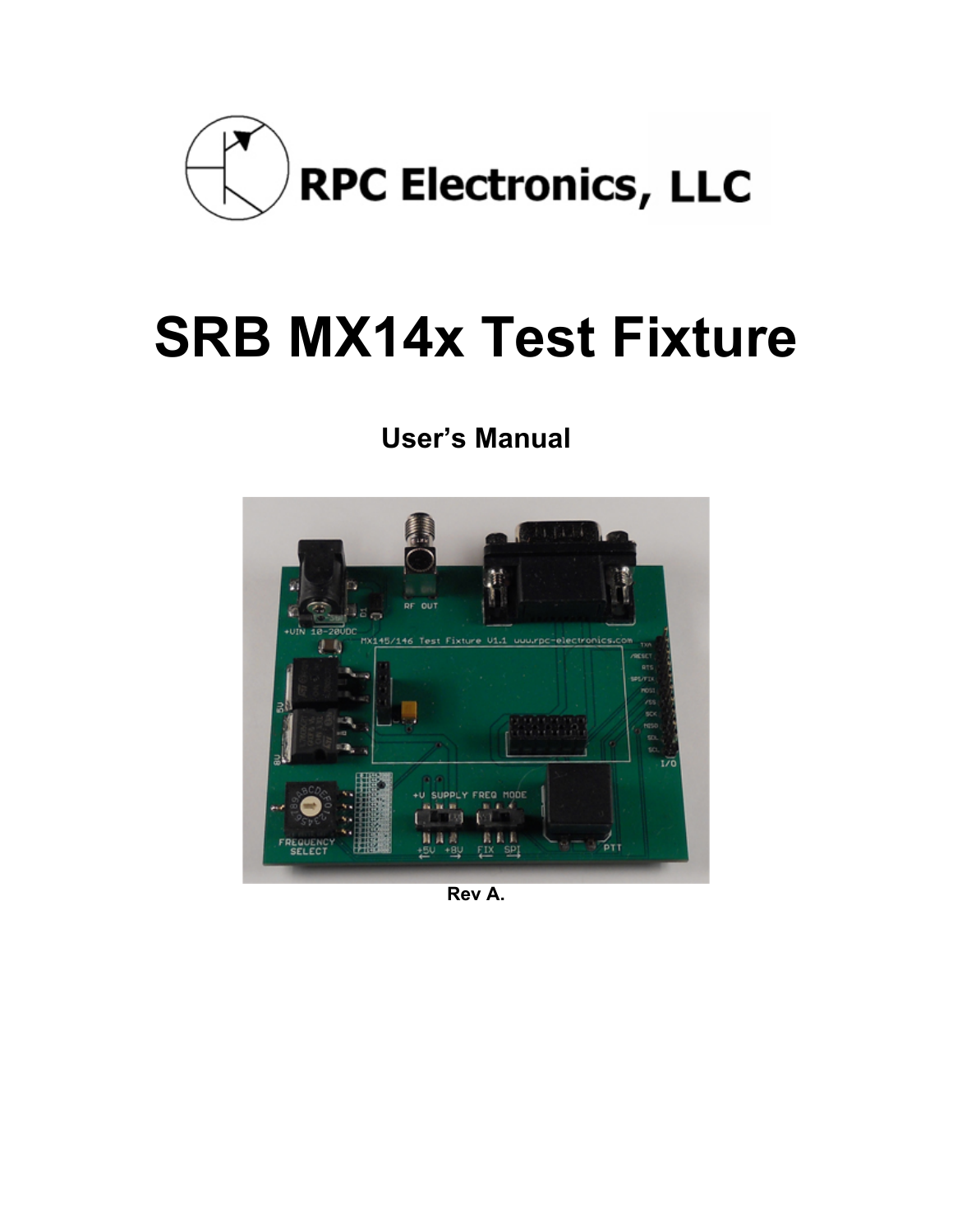

# **SRB MX14x Test Fixture**

# **User's Manual**



**Rev A.**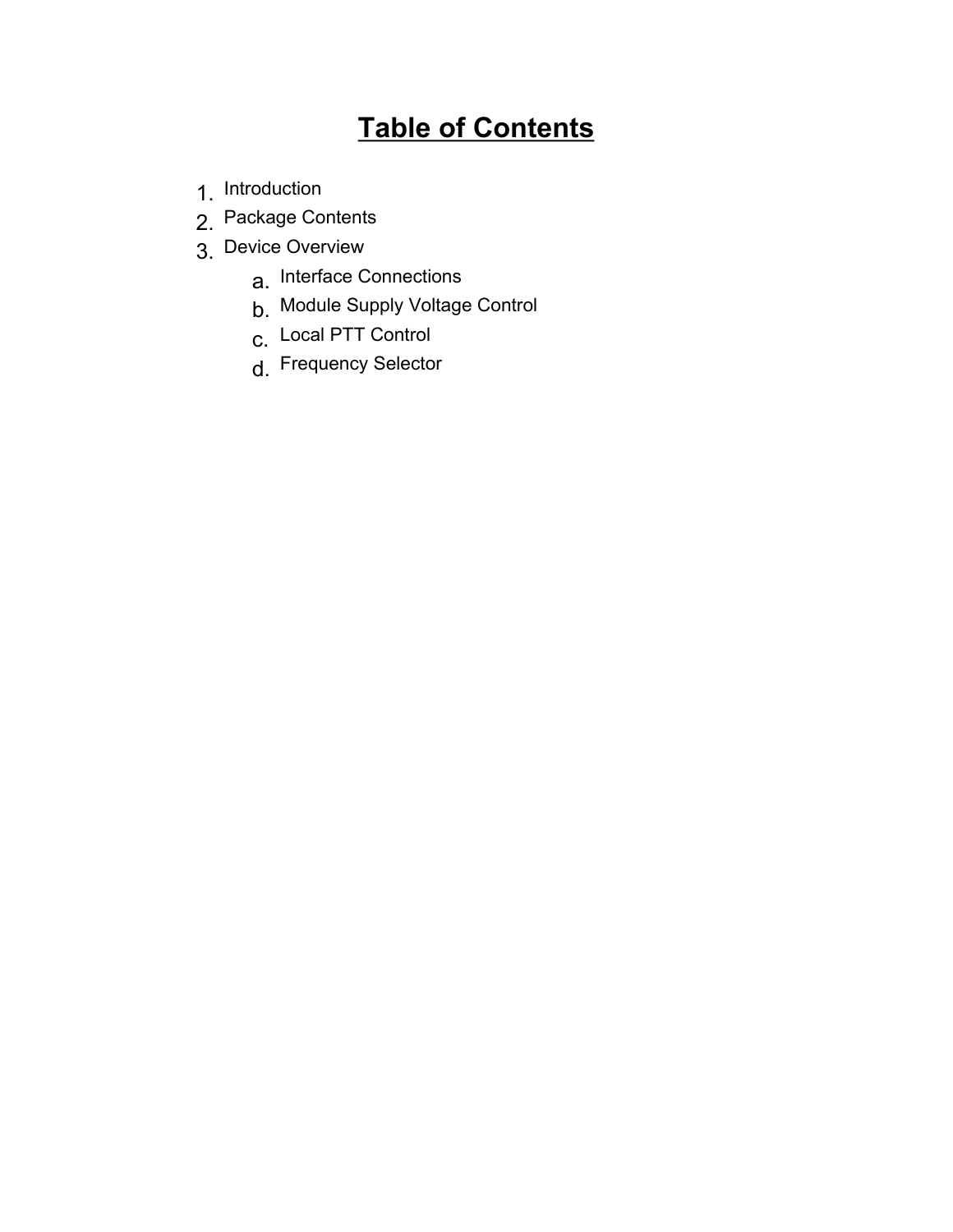# **Table of Contents**

- 1. Introduction
- 2. Package Contents
- 3. Device Overview
	- a. Interface Connections
	- b. Module Supply Voltage Control
	- c. Local PTT Control
	- d. Frequency Selector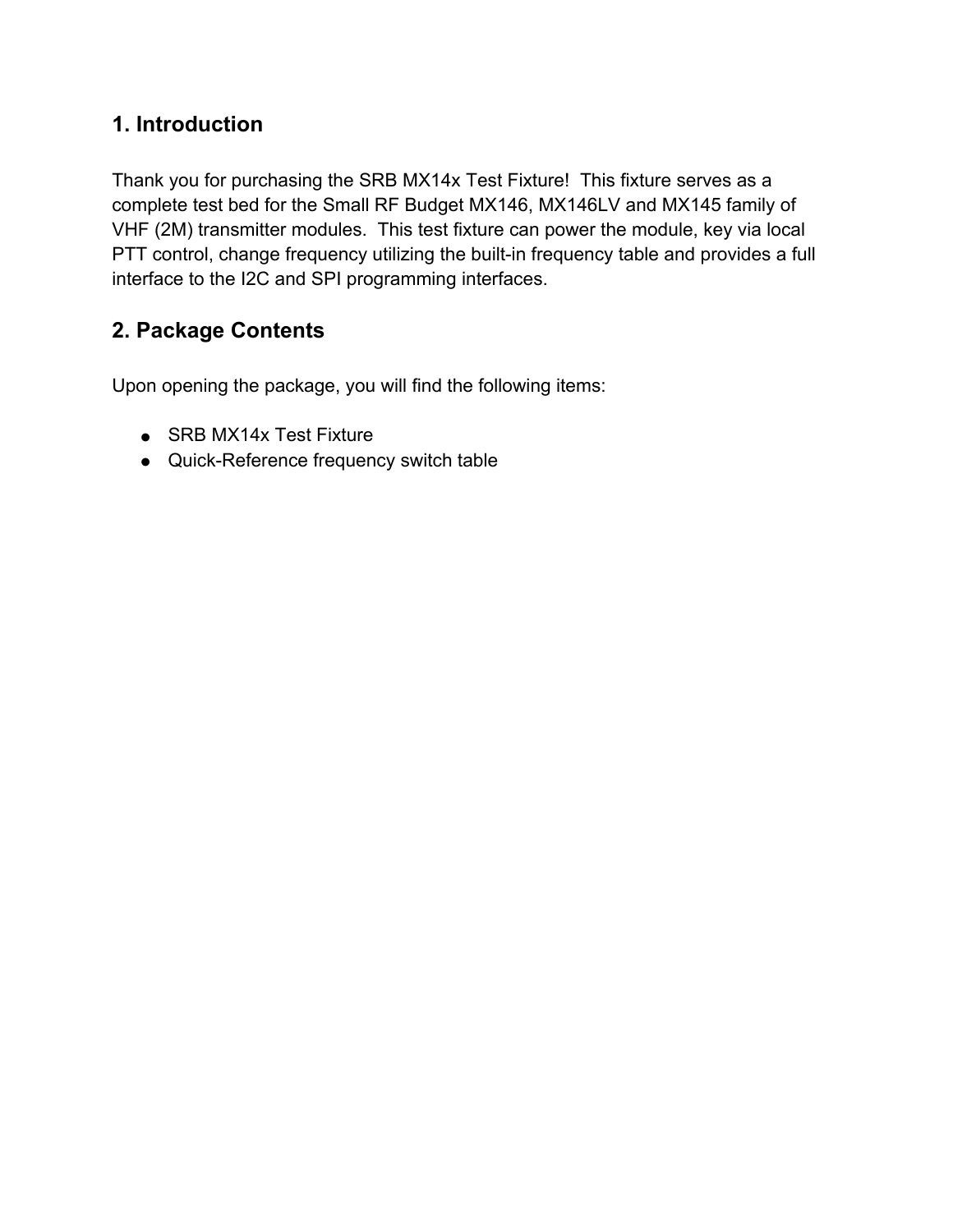# **1. Introduction**

Thank you for purchasing the SRB MX14x Test Fixture! This fixture serves as a complete test bed for the Small RF Budget MX146, MX146LV and MX145 family of VHF (2M) transmitter modules. This test fixture can power the module, key via local PTT control, change frequency utilizing the built-in frequency table and provides a full interface to the I2C and SPI programming interfaces.

# **2. Package Contents**

Upon opening the package, you will find the following items:

- SRB MX14x Test Fixture
- Quick-Reference frequency switch table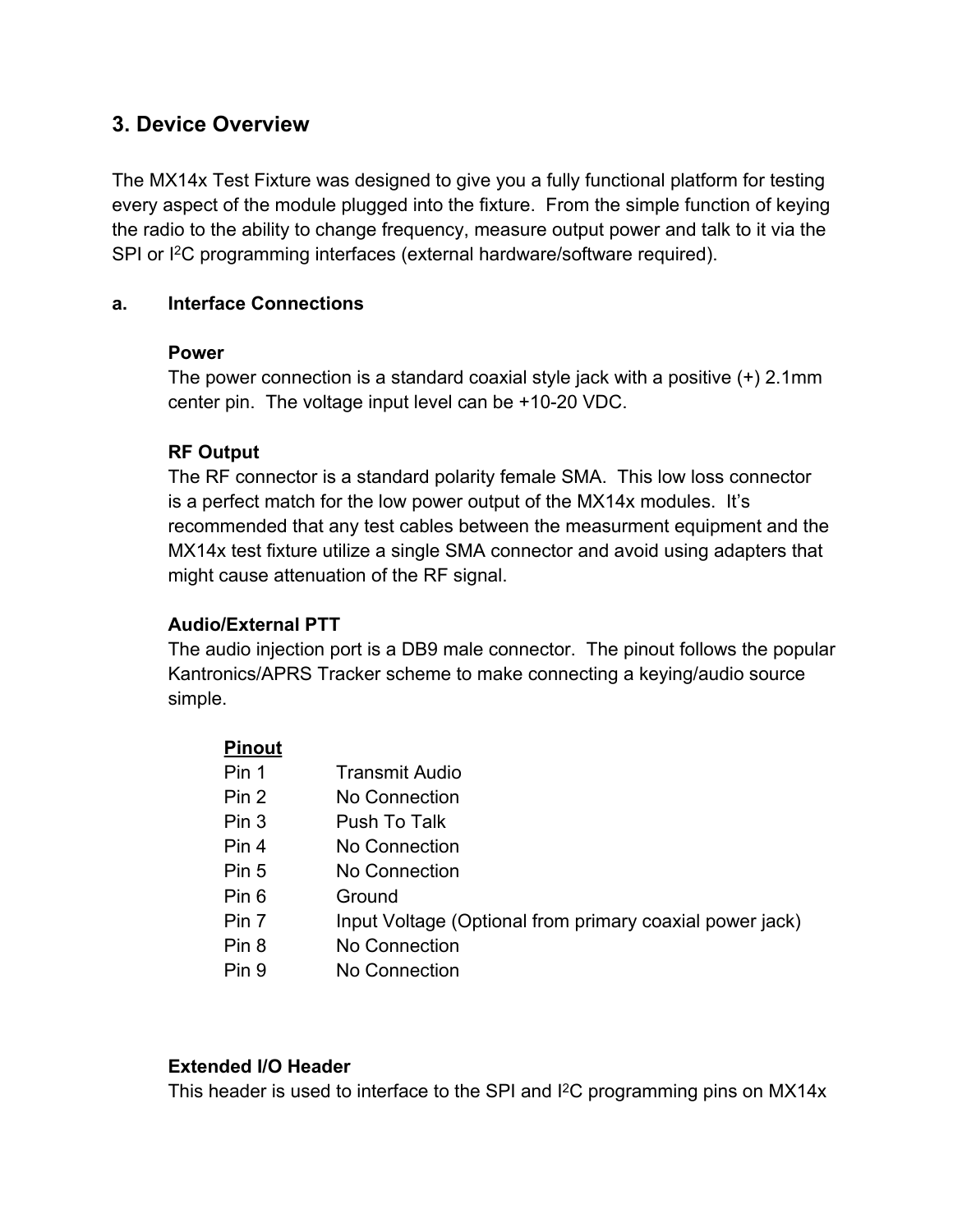### **3. Device Overview**

The MX14x Test Fixture was designed to give you a fully functional platform for testing every aspect of the module plugged into the fixture. From the simple function of keying the radio to the ability to change frequency, measure output power and talk to it via the SPI or I <sup>2</sup>C programming interfaces (external hardware/software required).

#### **a. Interface Connections**

#### **Power**

The power connection is a standard coaxial style jack with a positive (+) 2.1mm center pin. The voltage input level can be +10-20 VDC.

#### **RF Output**

The RF connector is a standard polarity female SMA. This low loss connector is a perfect match for the low power output of the MX14x modules. It's recommended that any test cables between the measurment equipment and the MX14x test fixture utilize a single SMA connector and avoid using adapters that might cause attenuation of the RF signal.

#### **Audio/External PTT**

The audio injection port is a DB9 male connector. The pinout follows the popular Kantronics/APRS Tracker scheme to make connecting a keying/audio source simple.

| <b>Pinout</b>    |                                                          |
|------------------|----------------------------------------------------------|
| Pin 1            | <b>Transmit Audio</b>                                    |
| Pin 2            | No Connection                                            |
| Pin <sub>3</sub> | Push To Talk                                             |
| Pin 4            | No Connection                                            |
| Pin 5            | No Connection                                            |
| Pin 6            | Ground                                                   |
| Pin 7            | Input Voltage (Optional from primary coaxial power jack) |
| Pin 8            | No Connection                                            |
| Pin 9            | No Connection                                            |

#### **Extended I/O Header**

This header is used to interface to the SPI and I <sup>2</sup>C programming pins on MX14x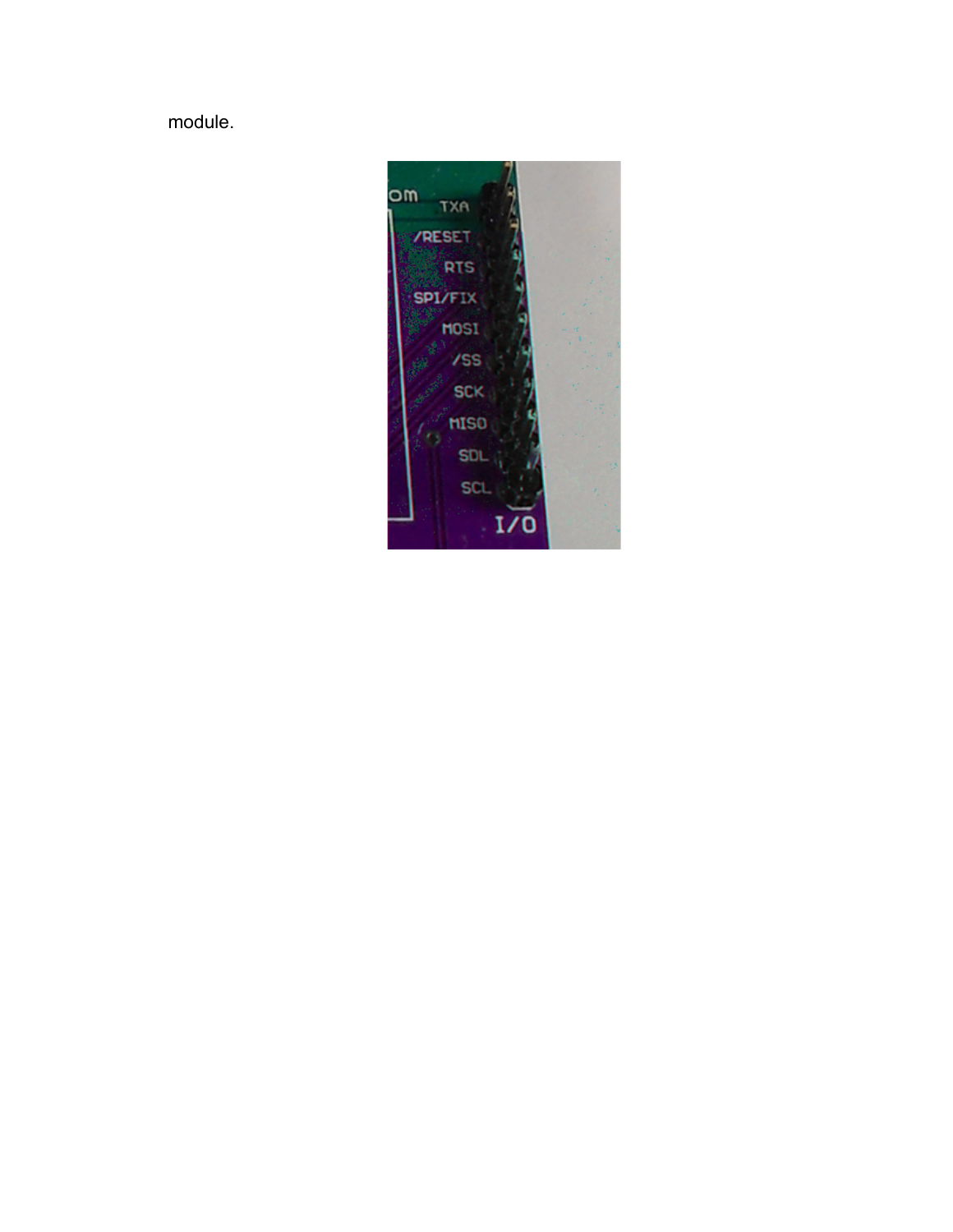module.

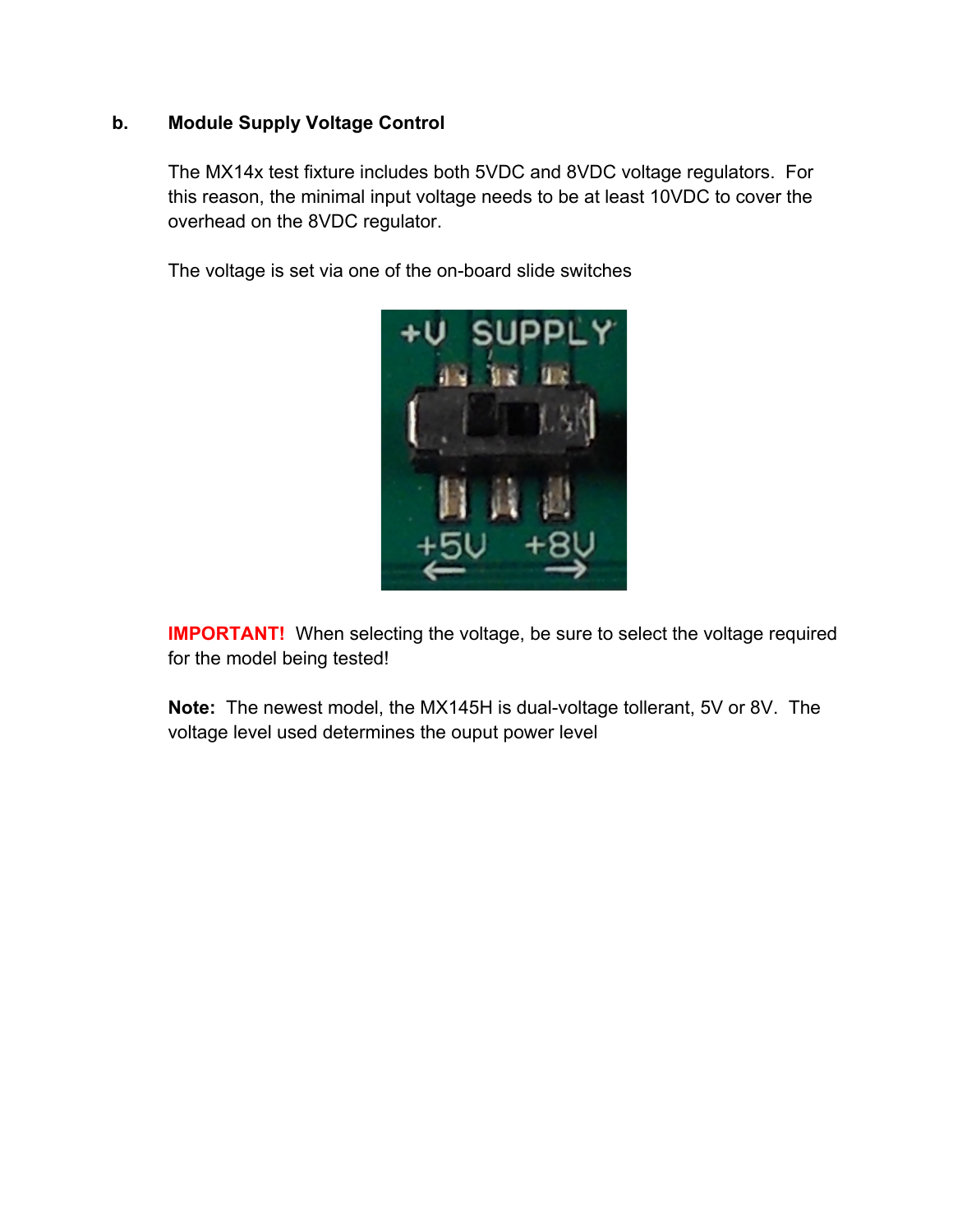#### **b. Module Supply Voltage Control**

The MX14x test fixture includes both 5VDC and 8VDC voltage regulators. For this reason, the minimal input voltage needs to be at least 10VDC to cover the overhead on the 8VDC regulator.

The voltage is set via one of the on-board slide switches



**IMPORTANT!** When selecting the voltage, be sure to select the voltage required for the model being tested!

**Note:** The newest model, the MX145H is dual-voltage tollerant, 5V or 8V. The voltage level used determines the ouput power level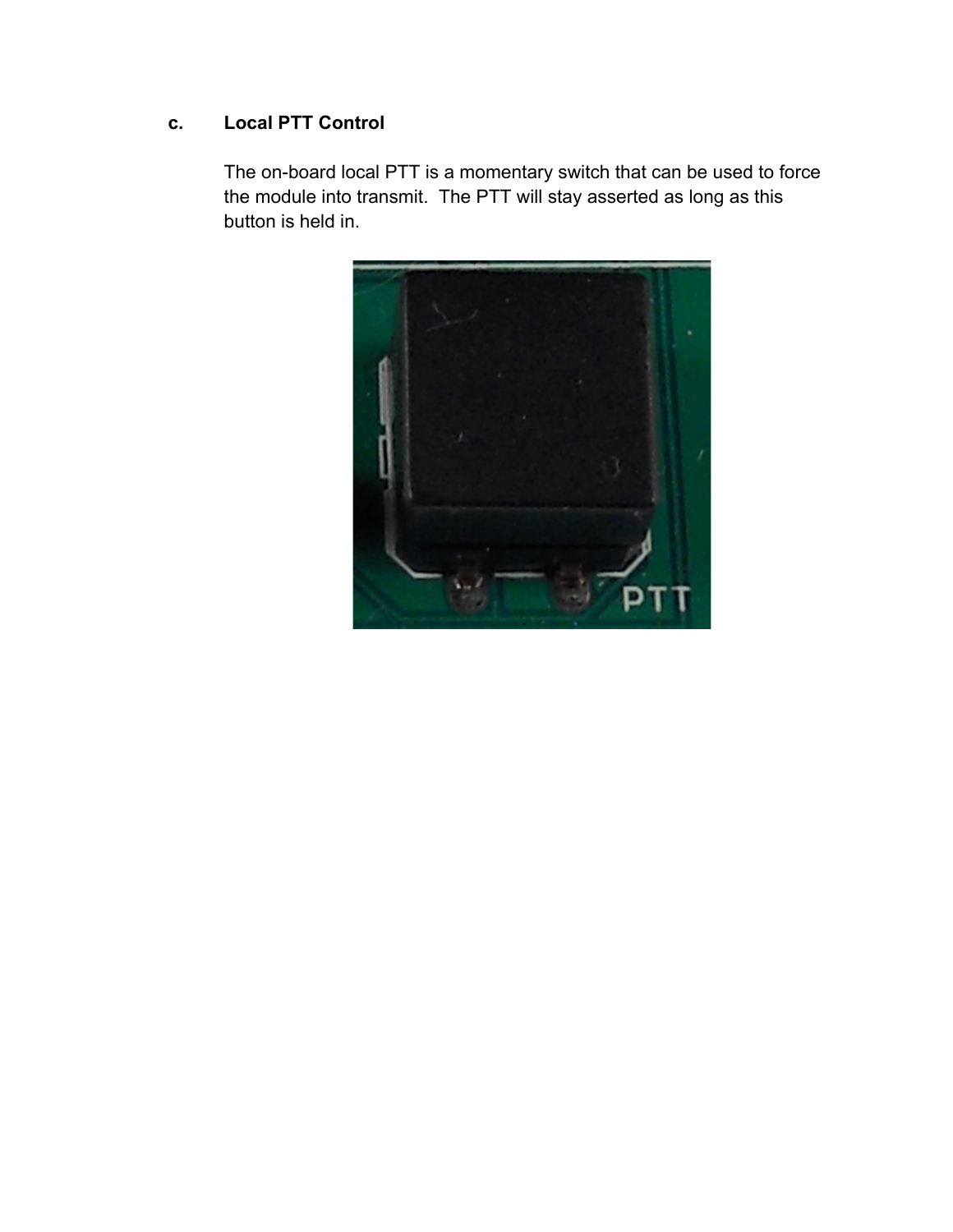## **c. Local PTT Control**

The on-board local PTT is a momentary switch that can be used to force the module into transmit. The PTT will stay asserted as long as this button is held in.

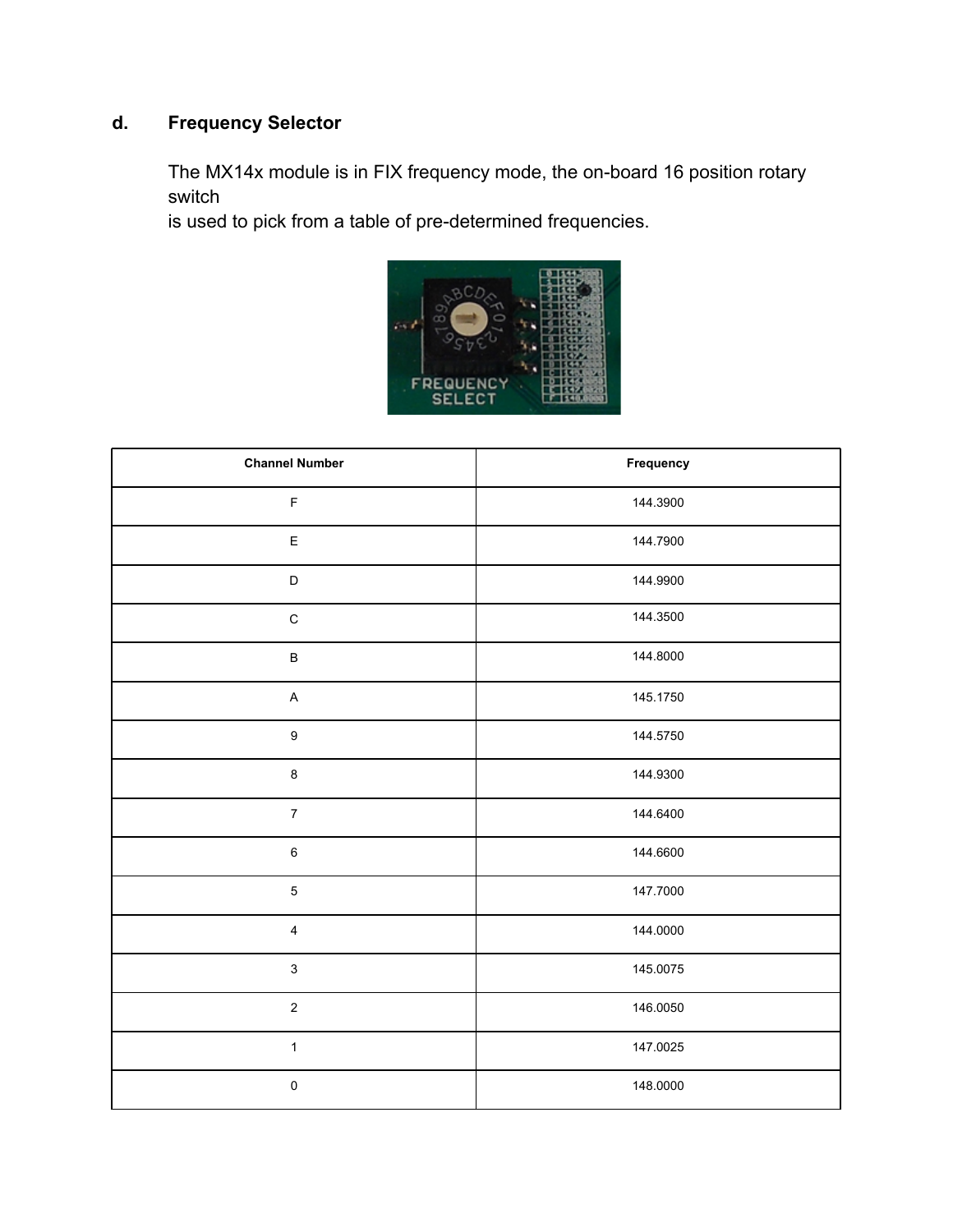# **d. Frequency Selector**

The MX14x module is in FIX frequency mode, the on-board 16 position rotary switch

is used to pick from a table of pre-determined frequencies.



| <b>Channel Number</b>     | Frequency |
|---------------------------|-----------|
| $\mathsf F$               | 144.3900  |
| E                         | 144.7900  |
| $\mathsf D$               | 144.9900  |
| $\mathsf C$               | 144.3500  |
| $\sf B$                   | 144.8000  |
| $\boldsymbol{\mathsf{A}}$ | 145.1750  |
| $\boldsymbol{9}$          | 144.5750  |
| $\bf 8$                   | 144.9300  |
| $\boldsymbol{7}$          | 144.6400  |
| $\,6\,$                   | 144.6600  |
| $\mathbf 5$               | 147.7000  |
| $\overline{\mathbf{4}}$   | 144.0000  |
| $\mathbf{3}$              | 145.0075  |
| $\boldsymbol{2}$          | 146.0050  |
| $\mathbf{1}$              | 147.0025  |
| $\pmb{0}$                 | 148.0000  |